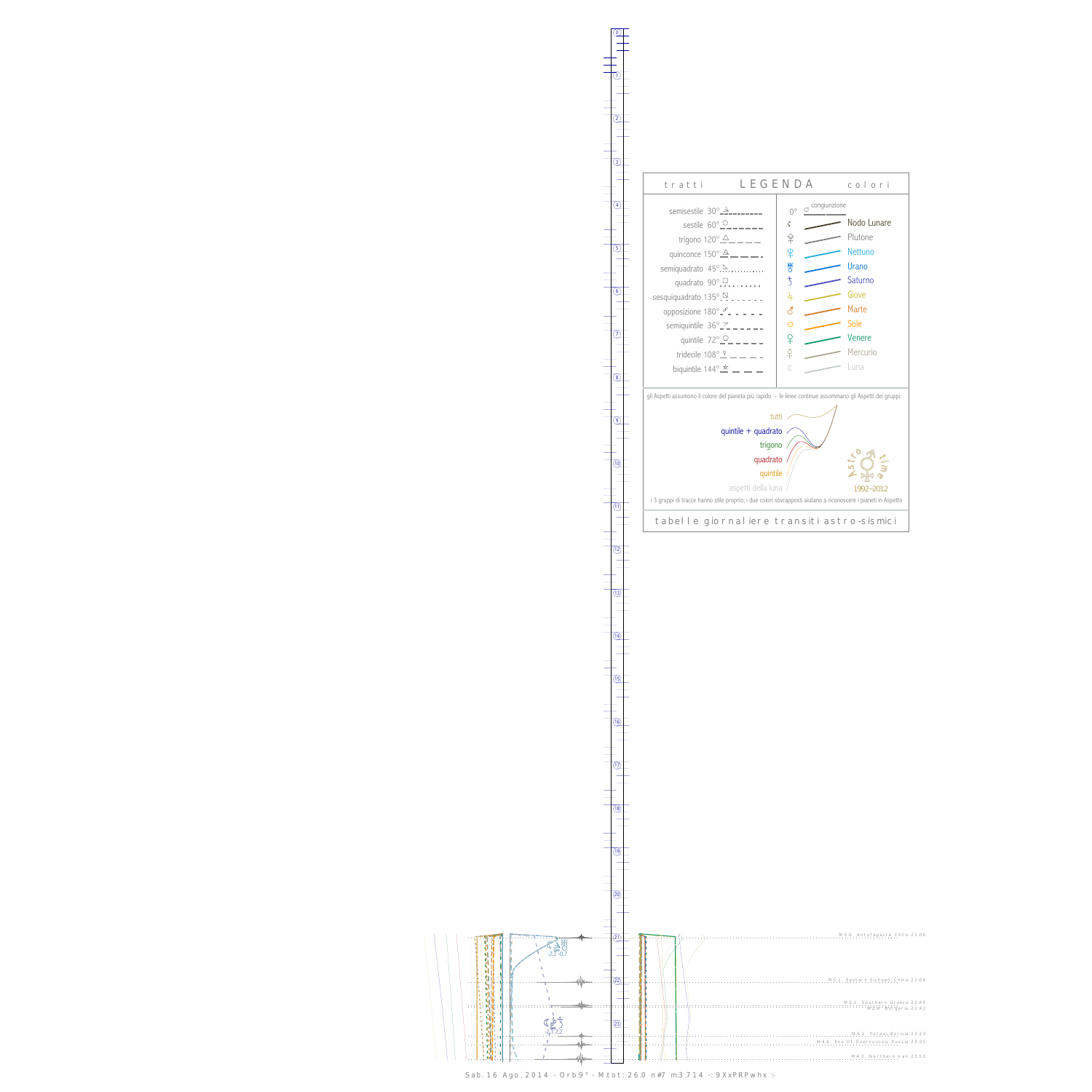$\setminus$